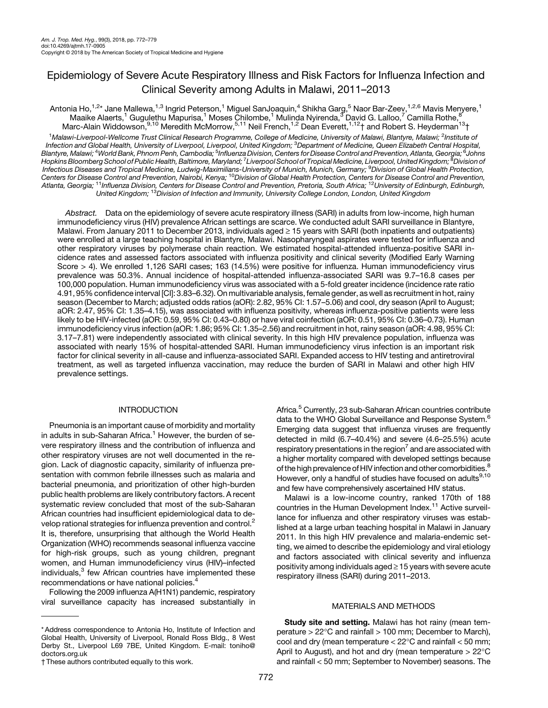# Epidemiology of Severe Acute Respiratory Illness and Risk Factors for Influenza Infection and Clinical Severity among Adults in Malawi, 2011–2013

Antonia Ho,<sup>1,2</sup>\* Jane Mallewa,<sup>1,3</sup> Ingrid Peterson,<sup>1</sup> Miguel SanJoaquin,<sup>4</sup> Shikha Garg,<sup>5</sup> Naor Bar-Zeev,<sup>1,2,6</sup> Mavis Menyere,<sup>1</sup> Maaike Alaerts,<sup>1</sup> Gugulethu Mapurisa,<sup>1</sup> Moses Chilombe,<sup>1</sup> Mulinda Nyirenda,<sup>3</sup> David G. Lalloo,<sup>7</sup> Camilla Rothe,<sup>8</sup> Marc-Alain Widdowson,<sup>9,10</sup> Meredith McMorrow,<sup>5,11</sup> Neil French,<sup>1,2</sup> Dean Everett,<sup>1,12</sup>† and Robert S. Heyderman<sup>13</sup>†

<sup>1</sup>Malawi-Liverpool-Wellcome Trust Clinical Research Programme, College of Medicine, University of Malawi, Blantyre, Malawi; <sup>2</sup>Institute of Infection and Global Health, University of Liverpool, Liverpool, United Kingdom; <sup>3</sup>Department of Medicine, Queen Elizabeth Central Hospital, Blantyre, Malawi; <sup>4</sup>World Bank, Phnom Penh, Cambodia; <sup>5</sup>Influenza Division, Centers for Disease Control and Prevention, Atlanta, Georgia; <sup>6</sup>Johns Hopkins Bloomberg School of Public Health, Baltimore, Maryland; <sup>7</sup> Liverpool School of Tropical Medicine, Liverpool, United Kingdom; <sup>8</sup> Division of Infectious Diseases and Tropical Medicine, Ludwig-Maximilians-University of Munich, Munich, Germany; <sup>9</sup>Division of Global Health Protection, Centers for Disease Control and Prevention, Nairobi, Kenya; <sup>10</sup>Division of Global Health Protection, Centers for Disease Control and Prevention, Atlanta, Georgia; <sup>11</sup>Influenza Division, Centers for Disease Control and Prevention, Pretoria, South Africa; <sup>12</sup>University of Edinburgh, Edinburgh, United Kingdom; <sup>13</sup>Division of Infection and Immunity, University College London, London, United Kingdom

Abstract. Data on the epidemiology of severe acute respiratory illness (SARI) in adults from low-income, high human immunodeficiency virus (HIV) prevalence African settings are scarce. We conducted adult SARI surveillance in Blantyre, Malawi. From January 2011 to December 2013, individuals aged  $\geq$  15 years with SARI (both inpatients and outpatients) were enrolled at a large teaching hospital in Blantyre, Malawi. Nasopharyngeal aspirates were tested for influenza and other respiratory viruses by polymerase chain reaction. We estimated hospital-attended influenza-positive SARI incidence rates and assessed factors associated with influenza positivity and clinical severity (Modified Early Warning Score > 4). We enrolled 1,126 SARI cases; 163 (14.5%) were positive for influenza. Human immunodeficiency virus prevalence was 50.3%. Annual incidence of hospital-attended influenza-associated SARI was 9.7–16.8 cases per 100,000 population. Human immunodeficiency virus was associated with a 5-fold greater incidence (incidence rate ratio 4.91, 95% confidence interval [CI]: 3.83–6.32). On multivariable analysis, female gender, as well as recruitment in hot, rainy season (December to March; adjusted odds ratios (aOR): 2.82, 95% CI: 1.57–5.06) and cool, dry season (April to August; aOR: 2.47, 95% CI: 1.35–4.15), was associated with influenza positivity, whereas influenza-positive patients were less likely to be HIV-infected (aOR: 0.59, 95% CI: 0.43–0.80) or have viral coinfection (aOR: 0.51, 95% CI: 0.36–0.73). Human immunodeficiency virus infection (aOR: 1.86; 95% CI: 1.35–2.56) and recruitment in hot, rainy season (aOR: 4.98, 95% CI: 3.17–7.81) were independently associated with clinical severity. In this high HIV prevalence population, influenza was associated with nearly 15% of hospital-attended SARI. Human immunodeficiency virus infection is an important risk factor for clinical severity in all-cause and influenza-associated SARI. Expanded access to HIV testing and antiretroviral treatment, as well as targeted influenza vaccination, may reduce the burden of SARI in Malawi and other high HIV prevalence settings.

## INTRODUCTION

Pneumonia is an important cause of morbidity and mortality in adults in sub-Saharan Africa.<sup>[1](#page-6-0)</sup> However, the burden of severe respiratory illness and the contribution of influenza and other respiratory viruses are not well documented in the region. Lack of diagnostic capacity, similarity of influenza presentation with common febrile illnesses such as malaria and bacterial pneumonia, and prioritization of other high-burden public health problems are likely contributory factors. A recent systematic review concluded that most of the sub-Saharan African countries had insufficient epidemiological data to de-velop rational strategies for influenza prevention and control.<sup>[2](#page-6-0)</sup> It is, therefore, unsurprising that although the World Health Organization (WHO) recommends seasonal influenza vaccine for high-risk groups, such as young children, pregnant women, and Human immunodeficiency virus (HIV)–infected individuals,<sup>[3](#page-7-0)</sup> few African countries have implemented these recommendations or have national policies.<sup>[4](#page-7-0)</sup>

Following the 2009 influenza A(H1N1) pandemic, respiratory viral surveillance capacity has increased substantially in

\* Address correspondence to Antonia Ho, Institute of Infection and Global Health, University of Liverpool, Ronald Ross Bldg., 8 West Derby St., Liverpool L69 7BE, United Kingdom. E-mail: [toniho@](mailto:toniho@doctors.org.uk) [doctors.org.uk](mailto:toniho@doctors.org.uk)

† These authors contributed equally to this work.

Africa.<sup>[5](#page-7-0)</sup> Currently, 23 sub-Saharan African countries contribute data to the WHO Global Surveillance and Response System.<sup>[6](#page-7-0)</sup> Emerging data suggest that influenza viruses are frequently detected in mild (6.7–40.4%) and severe (4.6–25.5%) acute respiratory presentations in the region<sup>7</sup> and are associated with a higher mortality compared with developed settings because of the high prevalence of HIV infection and other comorbidities.<sup>[8](#page-7-0)</sup> However, only a handful of studies have focused on adults $9,10$ and few have comprehensively ascertained HIV status.

Malawi is a low-income country, ranked 170th of 188 countries in the Human Development Index.<sup>[11](#page-7-0)</sup> Active surveillance for influenza and other respiratory viruses was established at a large urban teaching hospital in Malawi in January 2011. In this high HIV prevalence and malaria-endemic setting, we aimed to describe the epidemiology and viral etiology and factors associated with clinical severity and influenza positivity among individuals aged  $\geq$  15 years with severe acute respiratory illness (SARI) during 2011–2013.

### MATERIALS AND METHODS

**Study site and setting.** Malawi has hot rainy (mean temperature  $> 22^{\circ}$ C and rainfall  $> 100$  mm; December to March), cool and dry (mean temperature  $< 22^{\circ}$ C and rainfall  $< 50$  mm; April to August), and hot and dry (mean temperature  $> 22^{\circ}$ C and rainfall < 50 mm; September to November) seasons. The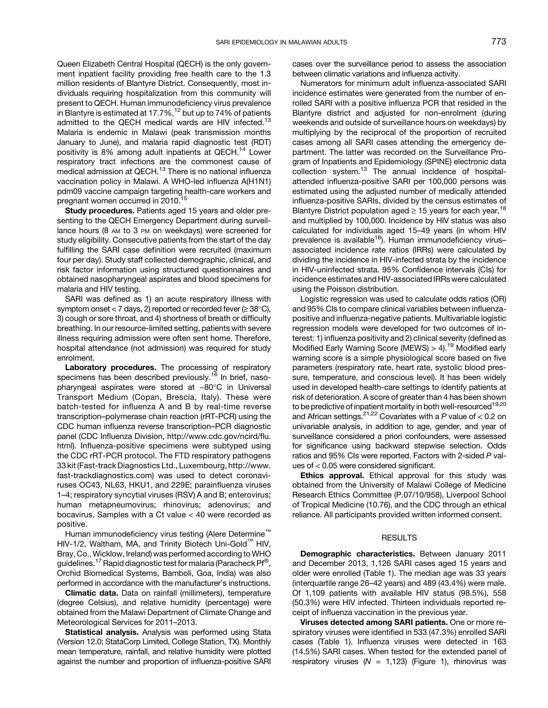Queen Elizabeth Central Hospital (QECH) is the only government inpatient facility providing free health care to the 1.3 million residents of Blantyre District. Consequently, most individuals requiring hospitalization from this community will present to QECH. Human immunodeficiency virus prevalence in Blantyre is estimated at 17.7%, $12$  but up to 74% of patients admitted to the QECH medical wards are HIV infected.<sup>[13](#page-7-0)</sup> Malaria is endemic in Malawi (peak transmission months January to June), and malaria rapid diagnostic test (RDT) positivity is 8% among adult inpatients at QECH.<sup>[14](#page-7-0)</sup> Lower respiratory tract infections are the commonest cause of medical admission at QECH.<sup>[13](#page-7-0)</sup> There is no national influenza vaccination policy in Malawi. A WHO-led influenza A(H1N1) pdm09 vaccine campaign targeting health-care workers and pregnant women occurred in 2010.<sup>[15](#page-7-0)</sup>

Study procedures. Patients aged 15 years and older presenting to the QECH Emergency Department during surveillance hours (8 AM to 3 PM on weekdays) were screened for study eligibility. Consecutive patients from the start of the day fulfilling the SARI case definition were recruited (maximum four per day). Study staff collected demographic, clinical, and risk factor information using structured questionnaires and obtained nasopharyngeal aspirates and blood specimens for malaria and HIV testing.

SARI was defined as 1) an acute respiratory illness with symptom onset < 7 days, 2) reported or recorded fever  $( \geq 38^{\circ} \text{C}),$ 3) cough or sore throat, and 4) shortness of breath or difficulty breathing. In our resource-limited setting, patients with severe illness requiring admission were often sent home. Therefore, hospital attendance (not admission) was required for study enrolment.

Laboratory procedures. The processing of respiratory specimens has been described previously.<sup>[16](#page-7-0)</sup> In brief, nasopharyngeal aspirates were stored at -80°C in Universal Transport Medium (Copan, Brescia, Italy). These were batch-tested for influenza A and B by real-time reverse transcription–polymerase chain reaction (rRT-PCR) using the CDC human influenza reverse transcription–PCR diagnostic panel (CDC Influenza Division, [http://www.cdc.gov/ncird/](http://www.cdc.gov/ncird/flu.html)flu. [html](http://www.cdc.gov/ncird/flu.html)). Influenza-positive specimens were subtyped using the CDC rRT-PCR protocol. The FTD respiratory pathogens 33 kit (Fast-track Diagnostics Ltd., Luxembourg, [http://www.](http://www.fast-trackdiagnostics.com) [fast-trackdiagnostics.com\)](http://www.fast-trackdiagnostics.com) was used to detect coronaviruses OC43, NL63, HKU1, and 229E; parainfluenza viruses 1–4; respiratory syncytial viruses (RSV) A and B; enterovirus; human metapneumovirus; rhinovirus; adenovirus; and bocavirus. Samples with a Ct value < 40 were recorded as positive.

Human immunodeficiency virus testing (Alere Determine<sup>™</sup> HIV-1/2, Waltham, MA, and Trinity Biotech Uni-Gold<sup>™</sup> HIV, Bray, Co., Wicklow, Ireland) was performed according to WHO guidelines.<sup>[17](#page-7-0)</sup> Rapid diagnostic test for malaria (Paracheck Pf<sup>®</sup>, Orchid Biomedical Systems, Bamboli, Goa, India) was also performed in accordance with the manufacturer's instructions.

Climatic data. Data on rainfall (millimeters), temperature (degree Celsius), and relative humidity (percentage) were obtained from the Malawi Department of Climate Change and Meteorological Services for 2011–2013.

Statistical analysis. Analysis was performed using Stata (Version 12.0; StataCorp Limited, College Station, TX). Monthly mean temperature, rainfall, and relative humidity were plotted against the number and proportion of influenza-positive SARI cases over the surveillance period to assess the association between climatic variations and influenza activity.

Numerators for minimum adult influenza-associated SARI incidence estimates were generated from the number of enrolled SARI with a positive influenza PCR that resided in the Blantyre district and adjusted for non-enrolment (during weekends and outside of surveillance hours on weekdays) by multiplying by the reciprocal of the proportion of recruited cases among all SARI cases attending the emergency department. The latter was recorded on the Surveillance Program of Inpatients and Epidemiology (SPINE) electronic data collection system.[13](#page-7-0) The annual incidence of hospitalattended influenza-positive SARI per 100,000 persons was estimated using the adjusted number of medically attended influenza-positive SARIs, divided by the census estimates of Blantyre District population aged  $\geq$  15 years for each year,<sup>[18](#page-7-0)</sup> and multiplied by 100,000. Incidence by HIV status was also calculated for individuals aged 15–49 years (in whom HIV prevalence is available<sup>18</sup>). Human immunodeficiency virusassociated incidence rate ratios (IRRs) were calculated by dividing the incidence in HIV-infected strata by the incidence in HIV-uninfected strata. 95% Confidence intervals (CIs) for incidence estimates and HIV-associated IRRs were calculated using the Poisson distribution.

Logistic regression was used to calculate odds ratios (OR) and 95% CIs to compare clinical variables between influenzapositive and influenza-negative patients. Multivariable logistic regression models were developed for two outcomes of interest: 1) influenza positivity and 2) clinical severity (defined as Modified Early Warning Score (MEWS)  $> 4$ ).<sup>[19](#page-7-0)</sup> Modified early warning score is a simple physiological score based on five parameters (respiratory rate, heart rate, systolic blood pressure, temperature, and conscious level). It has been widely used in developed health-care settings to identify patients at risk of deterioration. A score of greater than 4 has been shown to be predictive of inpatient mortality in both well-resourced<sup>[19,20](#page-7-0)</sup> and African settings.<sup>[21,22](#page-7-0)</sup> Covariates with a P value of  $<$  0.2 on univariable analysis, in addition to age, gender, and year of surveillance considered a priori confounders, were assessed for significance using backward stepwise selection. Odds ratios and 95% CIs were reported. Factors with 2-sided P values of < 0.05 were considered significant.

Ethics approval. Ethical approval for this study was obtained from the University of Malawi College of Medicine Research Ethics Committee (P.07/10/958), Liverpool School of Tropical Medicine (10.76), and the CDC through an ethical reliance. All participants provided written informed consent.

#### **RESULTS**

Demographic characteristics. Between January 2011 and December 2013, 1,126 SARI cases aged 15 years and older were enrolled [\(Table 1](#page-2-0)). The median age was 33 years (interquartile range 26–42 years) and 489 (43.4%) were male. Of 1,109 patients with available HIV status (98.5%), 558 (50.3%) were HIV infected. Thirteen individuals reported receipt of influenza vaccination in the previous year.

Viruses detected among SARI patients. One or more respiratory viruses were identified in 533 (47.3%) enrolled SARI cases ([Table 1\)](#page-2-0). Influenza viruses were detected in 163 (14.5%) SARI cases. When tested for the extended panel of respiratory viruses ( $N = 1,123$ ) ([Figure 1](#page-2-0)), rhinovirus was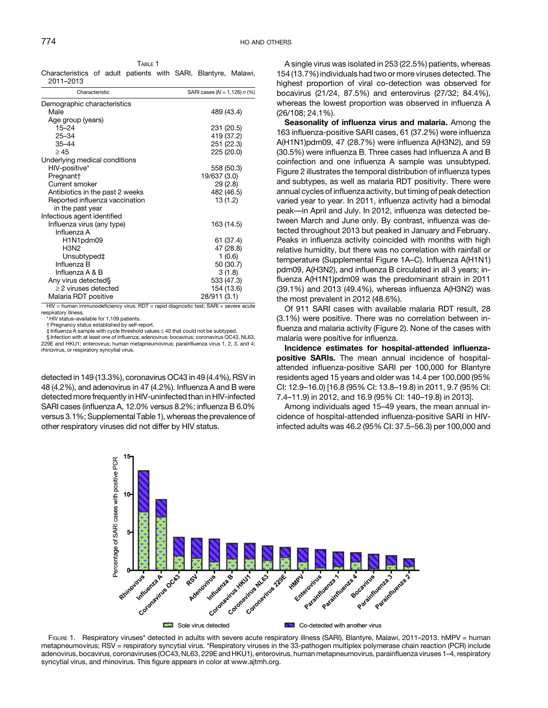<span id="page-2-0"></span>TABLE 1 Characteristics of adult patients with SARI, Blantyre, Malawi, 2011–2013

| Characteristic                  | SARI cases ( $N = 1,126$ ) $n$ (%) |
|---------------------------------|------------------------------------|
| Demographic characteristics     |                                    |
| Male                            | 489 (43.4)                         |
| Age group (years)               |                                    |
| $15 - 24$                       | 231 (20.5)                         |
| $25 - 34$                       | 419 (37.2)                         |
| $35 - 44$                       | 251 (22.3)                         |
| $\geq 45$                       | 225 (20.0)                         |
| Underlying medical conditions   |                                    |
| HIV-positive*                   | 558 (50.3)                         |
| Pregnant <sup>+</sup>           | 19/637 (3.0)                       |
| Current smoker                  | 29(2.8)                            |
| Antibiotics in the past 2 weeks | 482 (46.5)                         |
| Reported influenza vaccination  | 13 (1.2)                           |
| in the past year                |                                    |
| Infectious agent identified     |                                    |
| Influenza virus (any type)      | 163 (14.5)                         |
| Influenza A                     |                                    |
| H1N1pdm09                       | 61 (37.4)                          |
| <b>H3N2</b>                     | 47 (28.8)                          |
| Unsubtyped‡                     | 1(0.6)                             |
| Influenza B                     | 50 (30.7)                          |
| Influenza A & B                 | 3(1.8)                             |
| Any virus detected§             | 533 (47.3)                         |
| $\geq$ 2 viruses detected       | 154 (13.6)                         |
| Malaria RDT positive            | 28/911 (3.1)                       |
|                                 |                                    |

HIV = human immunodeficiency virus; RDT = rapid diagnostic test; SARI = severe acute respiratory illness. \* HIV status–available for 1,109 patients.

† Pregnancy status established by self-report.

 $±$  Influenza A sample with cycle threshold values  $≤$  40 that could not be subtyped. § Infection with at least one of influenza; adenovirus; bocavirus; coronavirus OC43, NL63, 229E and HKU1; enterovirus; human metapneumovirus; parainfluenza virus 1, 2, 3, and 4; rhinovirus, or respiratory syncytial virus.

detected in 149 (13.3%), coronavirus OC43 in 49 (4.4%), RSV in 48 (4.2%), and adenovirus in 47 (4.2%). Influenza A and B were detected more frequently in HIV-uninfected than in HIV-infected SARI cases (influenza A, 12.0% versus 8.2%; influenza B 6.0% versus 3.1%; Supplemental Table 1), whereas the prevalence of other respiratory viruses did not differ by HIV status.

A single virus was isolated in 253 (22.5%) patients, whereas 154 (13.7%) individuals had two or more viruses detected. The highest proportion of viral co-detection was observed for bocavirus (21/24, 87.5%) and enterovirus (27/32; 84.4%), whereas the lowest proportion was observed in influenza A (26/108; 24.1%).

Seasonality of influenza virus and malaria. Among the 163 influenza-positive SARI cases, 61 (37.2%) were influenza A(H1N1)pdm09, 47 (28.7%) were influenza A(H3N2), and 59 (30.5%) were influenza B. Three cases had influenza A and B coinfection and one influenza A sample was unsubtyped. [Figure 2](#page-3-0) illustrates the temporal distribution of influenza types and subtypes, as well as malaria RDT positivity. There were annual cycles of influenza activity, but timing of peak detection varied year to year. In 2011, influenza activity had a bimodal peak—in April and July. In 2012, influenza was detected between March and June only. By contrast, influenza was detected throughout 2013 but peaked in January and February. Peaks in influenza activity coincided with months with high relative humidity, but there was no correlation with rainfall or temperature (Supplemental Figure 1A–C). Influenza A(H1N1) pdm09, A(H3N2), and influenza B circulated in all 3 years; influenza A(H1N1)pdm09 was the predominant strain in 2011 (39.1%) and 2013 (49.4%), whereas influenza A(H3N2) was the most prevalent in 2012 (48.6%).

Of 911 SARI cases with available malaria RDT result, 28 (3.1%) were positive. There was no correlation between influenza and malaria activity ([Figure 2\)](#page-3-0). None of the cases with malaria were positive for influenza.

Incidence estimates for hospital-attended influenzapositive SARIs. The mean annual incidence of hospitalattended influenza-positive SARI per 100,000 for Blantyre residents aged 15 years and older was 14.4 per 100,000 (95% CI: 12.9–16.0) [16.8 (95% CI: 13.8–19.8) in 2011, 9.7 (95% CI: 7.4–11.9) in 2012, and 16.9 (95% CI: 140–19.8) in 2013].

Among individuals aged 15–49 years, the mean annual incidence of hospital-attended influenza-positive SARI in HIVinfected adults was 46.2 (95% CI: 37.5–56.3) per 100,000 and



Figure 1. Respiratory viruses\* detected in adults with severe acute respiratory illness (SARI), Blantyre, Malawi, 2011–2013. hMPV = human metapneumovirus; RSV = respiratory syncytial virus. \*Respiratory viruses in the 33-pathogen multiplex polymerase chain reaction (PCR) include adenovirus, bocavirus, coronaviruses (OC43, NL63, 229E and HKU1), enterovirus, human metapneumovirus, parainfluenza viruses 1–4, respiratory syncytial virus, and rhinovirus. This figure appears in color at [www.ajtmh.org.](http://www.ajtmh.org)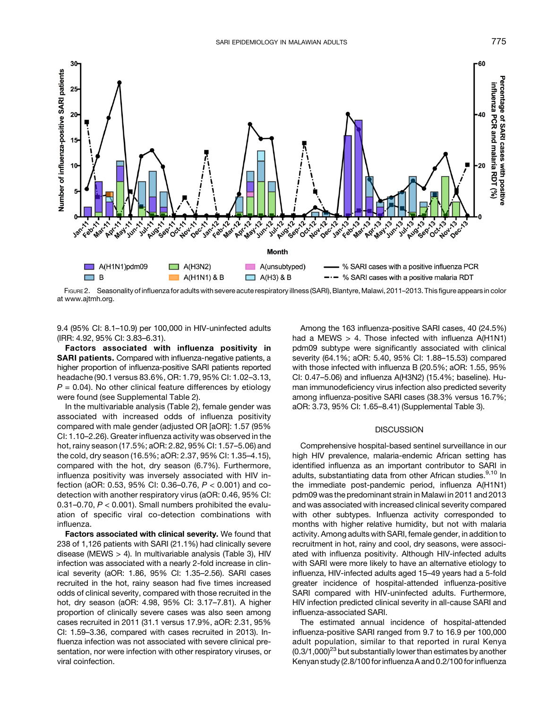<span id="page-3-0"></span>

at [www.ajtmh.org.](http://www.ajtmh.org)

9.4 (95% CI: 8.1–10.9) per 100,000 in HIV-uninfected adults (IRR: 4.92, 95% CI: 3.83–6.31).

Factors associated with influenza positivity in SARI patients. Compared with influenza-negative patients, a higher proportion of influenza-positive SARI patients reported headache (90.1 versus 83.6%, OR: 1.79, 95% CI: 1.02–3.13,  $P = 0.04$ ). No other clinical feature differences by etiology were found (see Supplemental Table 2).

In the multivariable analysis [\(Table 2](#page-4-0)), female gender was associated with increased odds of influenza positivity compared with male gender (adjusted OR [aOR]: 1.57 (95% CI: 1.10–2.26). Greater influenza activity was observed in the hot, rainy season (17.5%; aOR: 2.82, 95% CI: 1.57–5.06) and the cold, dry season (16.5%; aOR: 2.37, 95% CI: 1.35–4.15), compared with the hot, dry season (6.7%). Furthermore, influenza positivity was inversely associated with HIV infection (aOR: 0.53, 95% CI: 0.36–0.76, P < 0.001) and codetection with another respiratory virus (aOR: 0.46, 95% CI: 0.31–0.70,  $P < 0.001$ ). Small numbers prohibited the evaluation of specific viral co-detection combinations with influenza.

Factors associated with clinical severity. We found that 238 of 1,126 patients with SARI (21.1%) had clinically severe disease (MEWS > 4). In multivariable analysis [\(Table 3](#page-5-0)), HIV infection was associated with a nearly 2-fold increase in clinical severity (aOR: 1.86, 95% CI: 1.35–2.56). SARI cases recruited in the hot, rainy season had five times increased odds of clinical severity, compared with those recruited in the hot, dry season (aOR: 4.98, 95% CI: 3.17–7.81). A higher proportion of clinically severe cases was also seen among cases recruited in 2011 (31.1 versus 17.9%, aOR: 2.31, 95% CI: 1.59–3.36, compared with cases recruited in 2013). Influenza infection was not associated with severe clinical presentation, nor were infection with other respiratory viruses, or viral coinfection.

Among the 163 influenza-positive SARI cases, 40 (24.5%) had a MEWS  $> 4$ . Those infected with influenza A(H1N1) pdm09 subtype were significantly associated with clinical severity (64.1%; aOR: 5.40, 95% CI: 1.88–15.53) compared with those infected with influenza B (20.5%; aOR: 1.55, 95% CI: 0.47–5.06) and influenza A(H3N2) (15.4%; baseline). Human immunodeficiency virus infection also predicted severity among influenza-positive SARI cases (38.3% versus 16.7%; aOR: 3.73, 95% CI: 1.65–8.41) (Supplemental Table 3).

## **DISCUSSION**

Comprehensive hospital-based sentinel surveillance in our high HIV prevalence, malaria-endemic African setting has identified influenza as an important contributor to SARI in adults, substantiating data from other African studies.<sup>[9,10](#page-7-0)</sup> In the immediate post-pandemic period, influenza A(H1N1) pdm09 was the predominant strain in Malawi in 2011 and 2013 and was associated with increased clinical severity compared with other subtypes. Influenza activity corresponded to months with higher relative humidity, but not with malaria activity. Among adults with SARI, female gender, in addition to recruitment in hot, rainy and cool, dry seasons, were associated with influenza positivity. Although HIV-infected adults with SARI were more likely to have an alternative etiology to influenza, HIV-infected adults aged 15–49 years had a 5-fold greater incidence of hospital-attended influenza-positive SARI compared with HIV-uninfected adults. Furthermore, HIV infection predicted clinical severity in all-cause SARI and influenza-associated SARI.

The estimated annual incidence of hospital-attended influenza-positive SARI ranged from 9.7 to 16.9 per 100,000 adult population, similar to that reported in rural Kenya  $(0.3/1,000)^{23}$  $(0.3/1,000)^{23}$  $(0.3/1,000)^{23}$  but substantially lower than estimates by another Kenyan study (2.8/100 for influenza A and 0.2/100 for influenza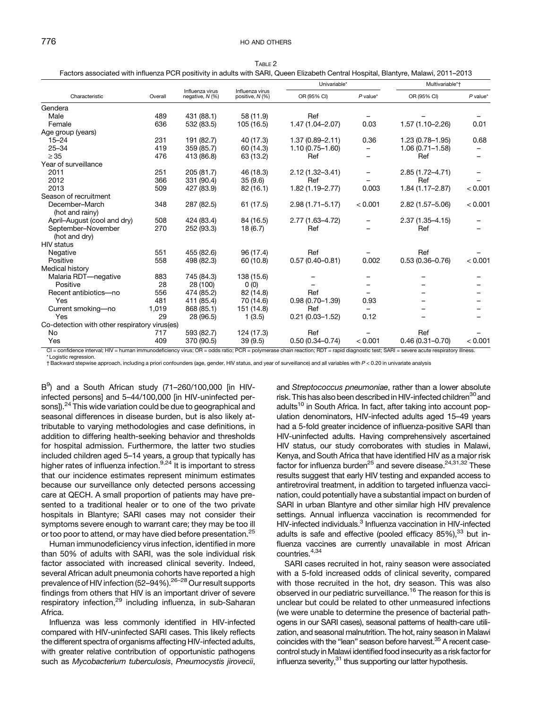| Characteristic                                                                                                                                                                        | Overall |                                    | Influenza virus<br>positive, N (%) | Univariable*        |            | Multivariable*†     |            |
|---------------------------------------------------------------------------------------------------------------------------------------------------------------------------------------|---------|------------------------------------|------------------------------------|---------------------|------------|---------------------|------------|
|                                                                                                                                                                                       |         | Influenza virus<br>negative, N (%) |                                    | OR (95% CI)         | $P$ value* | OR (95% CI)         | $P$ value* |
| Gendera                                                                                                                                                                               |         |                                    |                                    |                     |            |                     |            |
| Male                                                                                                                                                                                  | 489     | 431 (88.1)                         | 58 (11.9)                          | Ref                 |            |                     |            |
| Female                                                                                                                                                                                | 636     | 532 (83.5)                         | 105 (16.5)                         | 1.47 (1.04-2.07)    | 0.03       | 1.57 (1.10-2.26)    | 0.01       |
| Age group (years)                                                                                                                                                                     |         |                                    |                                    |                     |            |                     |            |
| $15 - 24$                                                                                                                                                                             | 231     | 191 (82.7)                         | 40 (17.3)                          | $1.37(0.89 - 2.11)$ | 0.36       | $1.23(0.78 - 1.95)$ | 0.68       |
| $25 - 34$                                                                                                                                                                             | 419     | 359 (85.7)                         | 60 (14.3)                          | $1.10(0.75 - 1.60)$ |            | $1.06(0.71 - 1.58)$ |            |
| $\geq$ 35                                                                                                                                                                             | 476     | 413 (86.8)                         | 63 (13.2)                          | Ref                 |            | Ref                 |            |
| Year of surveillance                                                                                                                                                                  |         |                                    |                                    |                     |            |                     |            |
| 2011                                                                                                                                                                                  | 251     | 205 (81.7)                         | 46 (18.3)                          | 2.12 (1.32-3.41)    |            | 2.85 (1.72-4.71)    |            |
| 2012                                                                                                                                                                                  | 366     | 331 (90.4)                         | 35(9.6)                            | Ref                 |            | Ref                 |            |
| 2013                                                                                                                                                                                  | 509     | 427 (83.9)                         | 82 (16.1)                          | 1.82 (1.19-2.77)    | 0.003      | $1.84(1.17 - 2.87)$ | < 0.001    |
| Season of recruitment                                                                                                                                                                 |         |                                    |                                    |                     |            |                     |            |
| December-March                                                                                                                                                                        | 348     | 287 (82.5)                         | 61 (17.5)                          | $2.98(1.71 - 5.17)$ | < 0.001    | 2.82 (1.57-5.06)    | < 0.001    |
| (hot and rainy)                                                                                                                                                                       |         |                                    |                                    |                     |            |                     |            |
| April-August (cool and dry)                                                                                                                                                           | 508     | 424 (83.4)                         | 84 (16.5)                          | 2.77 (1.63-4.72)    |            | $2.37(1.35 - 4.15)$ |            |
| September-November                                                                                                                                                                    | 270     | 252 (93.3)                         | 18(6.7)                            | Ref                 |            | Ref                 |            |
| (hot and dry)                                                                                                                                                                         |         |                                    |                                    |                     |            |                     |            |
| <b>HIV</b> status                                                                                                                                                                     |         |                                    |                                    |                     |            |                     |            |
| Negative                                                                                                                                                                              | 551     | 455 (82.6)                         | 96 (17.4)                          | Ref                 |            | Ref                 |            |
| Positive                                                                                                                                                                              | 558     | 498 (82.3)                         | 60 (10.8)                          | $0.57(0.40 - 0.81)$ | 0.002      | $0.53(0.36 - 0.76)$ | < 0.001    |
| Medical history                                                                                                                                                                       |         |                                    |                                    |                     |            |                     |            |
| Malaria RDT-negative                                                                                                                                                                  | 883     | 745 (84.3)                         | 138 (15.6)                         |                     |            |                     |            |
| Positive                                                                                                                                                                              | 28      | 28 (100)                           | 0(0)                               |                     |            |                     |            |
| Recent antibiotics-no                                                                                                                                                                 | 556     | 474 (85.2)                         | 82 (14.8)                          | Ref                 |            |                     |            |
| Yes                                                                                                                                                                                   | 481     | 411 (85.4)                         | 70 (14.6)                          | $0.98(0.70 - 1.39)$ | 0.93       |                     |            |
| Current smoking-no                                                                                                                                                                    | 1,019   | 868 (85.1)                         | 151 (14.8)                         | Ref                 |            |                     |            |
| Yes                                                                                                                                                                                   | 29      | 28 (96.5)                          | 1(3.5)                             | $0.21(0.03 - 1.52)$ | 0.12       |                     |            |
| Co-detection with other respiratory virus(es)                                                                                                                                         |         |                                    |                                    |                     |            |                     |            |
| No                                                                                                                                                                                    | 717     | 593 (82.7)                         | 124 (17.3)                         | Ref                 |            | Ref                 |            |
| Yes                                                                                                                                                                                   | 409     | 370 (90.5)                         | 39(9.5)                            | $0.50(0.34 - 0.74)$ | < 0.001    | $0.46(0.31 - 0.70)$ | < 0.001    |
| CI = confidence interval; HIV = human immunodeficiency virus; OR = odds ratio; PCR = polymerase chain reaction; RDT = rapid diagnostic test; SARI = severe acute respiratory illness. |         |                                    |                                    |                     |            |                     |            |

<span id="page-4-0"></span>TABLE 2 Factors associated with influenza PCR positivity in adults with SARI, Queen Elizabeth Central Hospital, Blantyre, Malawi, 2011–2013

Logistic regression.

†Backward stepwise approach, including a priori confounders (age, gender, HIV status, and year of surveillance) and all variables with P < 0.20 in univariate analysis

B<sup>9</sup>) and a South African study (71–260/100,000 [in HIVinfected persons] and 5–44/100,000 [in HIV-uninfected per-sons]).<sup>[24](#page-7-0)</sup> This wide variation could be due to geographical and seasonal differences in disease burden, but is also likely attributable to varying methodologies and case definitions, in addition to differing health-seeking behavior and thresholds for hospital admission. Furthermore, the latter two studies included children aged 5–14 years, a group that typically has higher rates of influenza infection.<sup>9,24</sup> It is important to stress that our incidence estimates represent minimum estimates because our surveillance only detected persons accessing care at QECH. A small proportion of patients may have presented to a traditional healer or to one of the two private hospitals in Blantyre; SARI cases may not consider their symptoms severe enough to warrant care; they may be too ill or too poor to attend, or may have died before presentation.<sup>[25](#page-7-0)</sup>

Human immunodeficiency virus infection, identified in more than 50% of adults with SARI, was the sole individual risk factor associated with increased clinical severity. Indeed, several African adult pneumonia cohorts have reported a high prevalence of HIV infection (52–94%).<sup>26–[28](#page-7-0)</sup> Our result supports findings from others that HIV is an important driver of severe respiratory infection,<sup>[29](#page-7-0)</sup> including influenza, in sub-Saharan Africa.

Influenza was less commonly identified in HIV-infected compared with HIV-uninfected SARI cases. This likely reflects the different spectra of organisms affecting HIV-infected adults, with greater relative contribution of opportunistic pathogens such as Mycobacterium tuberculosis, Pneumocystis jirovecii, and Streptococcus pneumoniae, rather than a lower absolute risk. This has also been described in HIV-infected children<sup>30</sup> and adults<sup>[10](#page-7-0)</sup> in South Africa. In fact, after taking into account population denominators, HIV-infected adults aged 15–49 years had a 5-fold greater incidence of influenza-positive SARI than HIV-uninfected adults. Having comprehensively ascertained HIV status, our study corroborates with studies in Malawi, Kenya, and South Africa that have identified HIV as a major risk factor for influenza burden<sup>[25](#page-7-0)</sup> and severe disease.<sup>24,31,32</sup> These results suggest that early HIV testing and expanded access to antiretroviral treatment, in addition to targeted influenza vaccination, could potentially have a substantial impact on burden of SARI in urban Blantyre and other similar high HIV prevalence settings. Annual influenza vaccination is recommended for HIV-infected individuals.<sup>3</sup> Influenza vaccination in HIV-infected adults is safe and effective (pooled efficacy  $85\%$ ),  $33$  but influenza vaccines are currently unavailable in most African countries[.4,34](#page-7-0)

SARI cases recruited in hot, rainy season were associated with a 5-fold increased odds of clinical severity, compared with those recruited in the hot, dry season. This was also observed in our pediatric surveillance.[16](#page-7-0) The reason for this is unclear but could be related to other unmeasured infections (we were unable to determine the presence of bacterial pathogens in our SARI cases), seasonal patterns of health-care utilization, and seasonal malnutrition. The hot, rainy season in Malawi coincides with the "lean" season before harvest.<sup>[35](#page-7-0)</sup> A recent casecontrol study in Malawi identified food insecurity as a risk factor for influenza severity, $31$  thus supporting our latter hypothesis.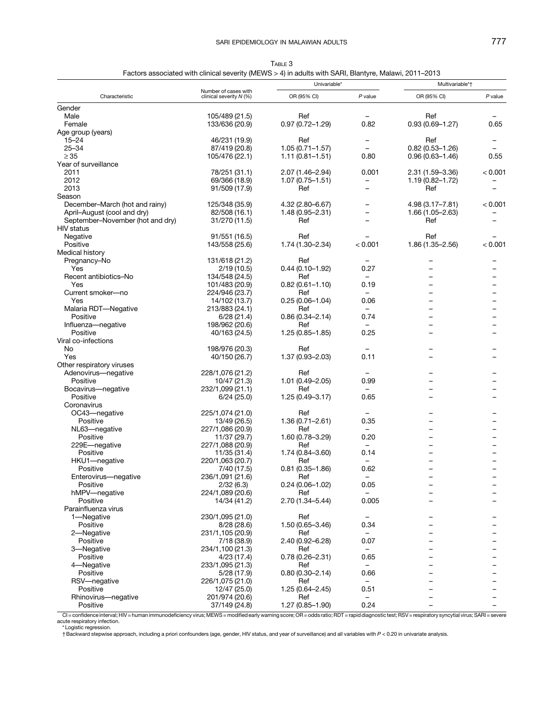TABLE 3 Factors associated with clinical severity (MEWS > 4) in adults with SARI, Blantyre, Malawi, 2011–2013

<span id="page-5-0"></span>

| Characteristic                   |                                                 | Univariable*        |                          | Multivariable*†          |           |
|----------------------------------|-------------------------------------------------|---------------------|--------------------------|--------------------------|-----------|
|                                  | Number of cases with<br>clinical severity N (%) | OR (95% CI)         | P value                  | OR (95% CI)              | $P$ value |
| Gender                           |                                                 |                     |                          |                          |           |
| Male                             | 105/489 (21.5)                                  | Ref                 |                          | Ref                      |           |
| Female                           | 133/636 (20.9)                                  | $0.97(0.72 - 1.29)$ | 0.82                     | $0.93(0.69 - 1.27)$      | 0.65      |
| Age group (years)                |                                                 |                     |                          |                          |           |
| $15 - 24$                        | 46/231 (19.9)                                   | Ref                 |                          | Ref                      |           |
| $25 - 34$                        | 87/419 (20.8)                                   | $1.05(0.71 - 1.57)$ |                          | $0.82(0.53 - 1.26)$      |           |
| $\geq 35$                        | 105/476 (22.1)                                  | $1.11(0.81 - 1.51)$ | 0.80                     | $0.96(0.63 - 1.46)$      | 0.55      |
| Year of surveillance             |                                                 |                     |                          |                          |           |
| 2011                             | 78/251 (31.1)                                   | 2.07 (1.46-2.94)    | 0.001                    | 2.31 (1.59 - 3.36)       | < 0.001   |
| 2012                             | 69/366 (18.9)                                   | $1.07(0.75 - 1.51)$ | -                        | $1.19(0.82 - 1.72)$      |           |
| 2013                             | 91/509 (17.9)                                   | Ref                 |                          | Ref                      |           |
| Season                           |                                                 |                     |                          |                          |           |
| December-March (hot and rainy)   | 125/348 (35.9)                                  | 4.32 (2.80-6.67)    |                          | 4.98 (3.17-7.81)         | < 0.001   |
| April-August (cool and dry)      | 82/508 (16.1)                                   | $1.48(0.95 - 2.31)$ |                          | 1.66 (1.05-2.63)         |           |
| September-November (hot and dry) | 31/270 (11.5)                                   | Ref                 |                          | Ref                      |           |
| <b>HIV</b> status                |                                                 |                     |                          |                          |           |
| Negative                         | 91/551 (16.5)                                   | Ref                 |                          | Ref                      |           |
| Positive                         | 143/558 (25.6)                                  | 1.74 (1.30-2.34)    | < 0.001                  | 1.86 (1.35-2.56)         | < 0.001   |
| Medical history                  |                                                 |                     |                          |                          |           |
| Pregnancy-No                     | 131/618 (21.2)                                  | Ref                 |                          |                          |           |
| Yes                              | 2/19(10.5)                                      | $0.44(0.10-1.92)$   | 0.27                     |                          |           |
| Recent antibiotics-No            | 134/548 (24.5)                                  | Ref                 | $\qquad \qquad -$        |                          |           |
| Yes                              | 101/483 (20.9)                                  | $0.82(0.61 - 1.10)$ | 0.19                     |                          |           |
| Current smoker-no                | 224/946 (23.7)                                  | Ref                 |                          |                          |           |
| Yes                              | 14/102 (13.7)                                   | $0.25(0.06 - 1.04)$ | 0.06                     |                          |           |
| Malaria RDT-Negative             | 213/883 (24.1)                                  | Ref                 | $\overline{\phantom{0}}$ |                          |           |
| Positive                         | 6/28(21.4)                                      | $0.86(0.34 - 2.14)$ | 0.74                     |                          |           |
| Influenza-negative               | 198/962 (20.6)                                  | Ref                 |                          |                          |           |
| Positive                         | 40/163 (24.5)                                   | 1.25 (0.85-1.85)    | 0.25                     |                          |           |
| Viral co-infections              |                                                 |                     |                          |                          |           |
| No                               | 198/976 (20.3)                                  | Ref                 |                          |                          |           |
| Yes                              | 40/150 (26.7)                                   | $1.37(0.93 - 2.03)$ | 0.11                     |                          |           |
| Other respiratory viruses        |                                                 |                     |                          |                          |           |
| Adenovirus-negative              | 228/1,076 (21.2)                                | Ref                 |                          |                          |           |
| Positive                         | 10/47 (21.3)                                    | $1.01(0.49 - 2.05)$ | 0.99                     |                          |           |
| Bocavirus-negative               | 232/1,099 (21.1)                                | Ref                 |                          |                          |           |
| Positive                         | 6/24(25.0)                                      | $1.25(0.49 - 3.17)$ | 0.65                     |                          |           |
| Coronavirus                      |                                                 |                     |                          |                          |           |
| OC43-negative                    | 225/1,074 (21.0)                                | Ref                 |                          |                          |           |
| Positive                         | 13/49 (26.5)                                    | $1.36(0.71 - 2.61)$ | 0.35                     |                          |           |
| NL63-negative                    | 227/1,086 (20.9)                                | Ref                 | $\overline{\phantom{0}}$ |                          |           |
| Positive                         | 11/37 (29.7)                                    | $1.60(0.78 - 3.29)$ | 0.20                     |                          |           |
| 229E-negative                    | 227/1,088 (20.9)                                | Ref                 |                          |                          |           |
| Positive                         | 11/35 (31.4)                                    | $1.74(0.84 - 3.60)$ | 0.14                     |                          |           |
| HKU1-negative                    | 220/1,063 (20.7)                                | Ref                 | $\qquad \qquad -$        |                          |           |
| Positive                         | 7/40 (17.5)                                     | $0.81(0.35 - 1.86)$ | 0.62                     |                          |           |
| Enterovirus-negative             | 236/1,091 (21.6)                                | Ref                 |                          | $\overline{\phantom{0}}$ | -         |
| Positive                         | 2/32(6.3)                                       | $0.24(0.06 - 1.02)$ | 0.05                     |                          |           |
| hMPV-negative                    | 224/1,089 (20.6)                                | Ref                 |                          |                          |           |
| Positive                         | 14/34 (41.2)                                    | 2.70 (1.34-5.44)    | 0.005                    |                          |           |
| Parainfluenza virus              |                                                 |                     |                          |                          |           |
| 1-Negative                       | 230/1,095 (21.0)                                | Ref                 |                          |                          |           |
| Positive                         | 8/28(28.6)                                      | $1.50(0.65 - 3.46)$ | 0.34                     |                          |           |
| 2-Negative                       | 231/1,105 (20.9)                                | Ref                 |                          |                          |           |
| Positive                         | 7/18 (38.9)                                     | $2.40(0.92 - 6.28)$ | 0.07                     |                          |           |
| 3-Negative                       | 234/1,100 (21.3)                                | Ref                 |                          |                          |           |
| Positive                         | 4/23 (17.4)                                     | $0.78(0.26 - 2.31)$ | 0.65                     |                          |           |
| 4-Negative                       | 233/1,095 (21.3)                                | Ref                 | -                        |                          |           |
| Positive                         | 5/28 (17.9)                                     | $0.80(0.30 - 2.14)$ | 0.66                     |                          |           |
| RSV-negative                     | 226/1,075 (21.0)                                | Ref                 | Ξ.                       |                          |           |
| Positive                         | 12/47 (25.0)                                    | $1.25(0.64 - 2.45)$ | 0.51                     |                          |           |
| Rhinovirus-negative              | 201/974 (20.6)                                  | Ref                 | $\overline{\phantom{0}}$ |                          |           |
| Positive                         | 37/149 (24.8)                                   | 1.27 (0.85-1.90)    | 0.24                     |                          |           |

CI = confidence interval; HIV = human immunodeficiency virus; MEWS = modified early warning score; OR = odds ratio; RDT = rapid diagnostic test; RSV = respiratory syncytial virus; SARI = severe<br>\*Logistic regression.<br>†Backw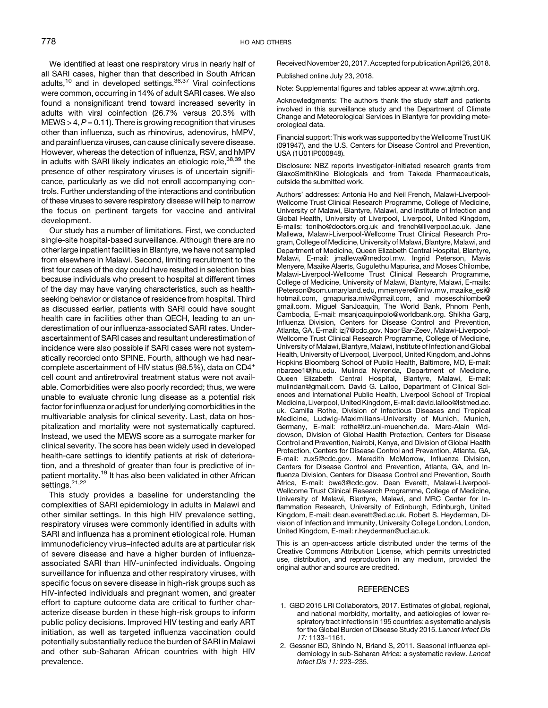<span id="page-6-0"></span>We identified at least one respiratory virus in nearly half of all SARI cases, higher than that described in South African adults,<sup>[10](#page-7-0)</sup> and in developed settings.<sup>[36](#page-7-0),[37](#page-7-0)</sup> Viral coinfections were common, occurring in 14% of adult SARI cases. We also found a nonsignificant trend toward increased severity in adults with viral coinfection (26.7% versus 20.3% with  $MEWS > 4, P = 0.11$ . There is growing recognition that viruses other than influenza, such as rhinovirus, adenovirus, hMPV, and parainfluenza viruses, can cause clinically severe disease. However, whereas the detection of influenza, RSV, and hMPV in adults with SARI likely indicates an etiologic role,  $38,39$  the presence of other respiratory viruses is of uncertain significance, particularly as we did not enroll accompanying controls. Further understanding of the interactions and contribution of these viruses to severe respiratory disease will help to narrow the focus on pertinent targets for vaccine and antiviral development.

Our study has a number of limitations. First, we conducted single-site hospital-based surveillance. Although there are no other large inpatient facilities in Blantyre, we have not sampled from elsewhere in Malawi. Second, limiting recruitment to the first four cases of the day could have resulted in selection bias because individuals who present to hospital at different times of the day may have varying characteristics, such as healthseeking behavior or distance of residence from hospital. Third as discussed earlier, patients with SARI could have sought health care in facilities other than QECH, leading to an underestimation of our influenza-associated SARI rates. Underascertainment of SARI cases and resultant underestimation of incidence were also possible if SARI cases were not systematically recorded onto SPINE. Fourth, although we had nearcomplete ascertainment of HIV status (98.5%), data on CD4<sup>+</sup> cell count and antiretroviral treatment status were not available. Comorbidities were also poorly recorded; thus, we were unable to evaluate chronic lung disease as a potential risk factor for influenza or adjust for underlying comorbidities in the multivariable analysis for clinical severity. Last, data on hospitalization and mortality were not systematically captured. Instead, we used the MEWS score as a surrogate marker for clinical severity. The score has been widely used in developed health-care settings to identify patients at risk of deterioration, and a threshold of greater than four is predictive of in-patient mortality.<sup>[19](#page-7-0)</sup> It has also been validated in other African settings.<sup>[21,22](#page-7-0)</sup>

This study provides a baseline for understanding the complexities of SARI epidemiology in adults in Malawi and other similar settings. In this high HIV prevalence setting, respiratory viruses were commonly identified in adults with SARI and influenza has a prominent etiological role. Human immunodeficiency virus–infected adults are at particular risk of severe disease and have a higher burden of influenzaassociated SARI than HIV-uninfected individuals. Ongoing surveillance for influenza and other respiratory viruses, with specific focus on severe disease in high-risk groups such as HIV-infected individuals and pregnant women, and greater effort to capture outcome data are critical to further characterize disease burden in these high-risk groups to inform public policy decisions. Improved HIV testing and early ART initiation, as well as targeted influenza vaccination could potentially substantially reduce the burden of SARI in Malawi and other sub-Saharan African countries with high HIV prevalence.

Received November 20, 2017. Acceptedfor publication April 26, 2018.

Published online July 23, 2018.

Note: Supplemental figures and tables appear at [www.ajtmh.org.](http://www.ajtmh.org)

Acknowledgments: The authors thank the study staff and patients involved in this surveillance study and the Department of Climate Change and Meteorological Services in Blantyre for providing meteorological data.

Financial support: This work was supported by the Wellcome Trust UK (091947), and the U.S. Centers for Disease Control and Prevention, USA (1U01IP000848).

Disclosure: NBZ reports investigator-initiated research grants from GlaxoSmithKline Biologicals and from Takeda Pharmaceuticals, outside the submitted work.

Authors' addresses: Antonia Ho and Neil French, Malawi-Liverpool-Wellcome Trust Clinical Research Programme, College of Medicine, University of Malawi, Blantyre, Malawi, and Institute of Infection and Global Health, University of Liverpool, Liverpool, United Kingdom, E-mails: [toniho@doctors.org.uk](mailto:toniho@doctors.org.uk) and [french@liverpool.ac.uk](mailto:french@liverpool.ac.uk). Jane Mallewa, Malawi-Liverpool-Wellcome Trust Clinical Research Program, College of Medicine, University of Malawi, Blantyre, Malawi, and Department of Medicine, Queen Elizabeth Central Hospital, Blantyre, Malawi, E-mail: [jmallewa@medcol.mw.](mailto:jmallewa@medcol.mw) Ingrid Peterson, Mavis Menyere, Maaike Alaerts, Gugulethu Mapurisa, and Moses Chilombe, Malawi-Liverpool-Wellcome Trust Clinical Research Programme, College of Medicine, University of Malawi, Blantyre, Malawi, E-mails: [IPeterson@som.umaryland.edu,](mailto:IPeterson@som.umaryland.edu) [mmenyere@mlw.mw](mailto:mmenyere@mlw.mw), [maaike\\_esi@](mailto:maaike_esi@hotmail.com) [hotmail.com,](mailto:maaike_esi@hotmail.com) [gmapurisa.mlw@gmail.com,](mailto:gmapurisa.mlw@gmail.com) and [moseschilombe@](mailto:moseschilombe@gmail.com) [gmail.com.](mailto:moseschilombe@gmail.com) Miguel SanJoaquin, The World Bank, Phnom Penh, Cambodia, E-mail: [msanjoaquinpolo@worldbank.org](mailto:msanjoaquinpolo@worldbank.org). Shikha Garg, Influenza Division, Centers for Disease Control and Prevention, Atlanta, GA, E-mail: [izj7@cdc.gov.](mailto:izj7@cdc.gov) Naor Bar-Zeev, Malawi-Liverpool-Wellcome Trust Clinical Research Programme, College of Medicine, University of Malawi, Blantyre, Malawi, Institute of Infection and Global Health, University of Liverpool, Liverpool, United Kingdom, and Johns Hopkins Bloomberg School of Public Health, Baltimore, MD, E-mail: [nbarzee1@jhu.edu.](mailto:nbarzee1@jhu.edu) Mulinda Nyirenda, Department of Medicine, Queen Elizabeth Central Hospital, Blantyre, Malawi, E-mail: [mulindan@gmail.com](mailto:mulindan@gmail.com). David G. Lalloo, Department of Clinical Sciences and International Public Health, Liverpool School of Tropical Medicine, Liverpool, United Kingdom, E-mail: [david.lalloo@lstmed.ac.](mailto:david.lalloo@lstmed.ac.uk) [uk.](mailto:david.lalloo@lstmed.ac.uk) Camilla Rothe, Division of Infectious Diseases and Tropical Medicine, Ludwig-Maximilians-University of Munich, Munich, Germany, E-mail: [rothe@lrz.uni-muenchen.de.](mailto:rothe@lrz.uni-muenchen.de) Marc-Alain Widdowson, Division of Global Health Protection, Centers for Disease Control and Prevention, Nairobi, Kenya, and Division of Global Health Protection, Centers for Disease Control and Prevention, Atlanta, GA, E-mail: [zux5@cdc.gov.](mailto:zux5@cdc.gov) Meredith McMorrow, Influenza Division, Centers for Disease Control and Prevention, Atlanta, GA, and Influenza Division, Centers for Disease Control and Prevention, South Africa, E-mail: [bwe3@cdc.gov.](mailto:bwe3@cdc.gov) Dean Everett, Malawi-Liverpool-Wellcome Trust Clinical Research Programme, College of Medicine, University of Malawi, Blantyre, Malawi, and MRC Center for Inflammation Research, University of Edinburgh, Edinburgh, United Kingdom, E-mail: [dean.everett@ed.ac.uk](mailto:dean.everett@ed.ac.uk). Robert S. Heyderman, Division of Infection and Immunity, University College London, London, United Kingdom, E-mail: [r.heyderman@ucl.ac.uk.](mailto:r.heyderman@ucl.ac.uk)

This is an open-access article distributed under the terms of the [Creative Commons Attribution License,](http://creativecommons.org/licenses/by/4.0/) which permits unrestricted use, distribution, and reproduction in any medium, provided the original author and source are credited.

#### **REFERENCES**

- 1. GBD 2015 LRI Collaborators, 2017. Estimates of global, regional, and national morbidity, mortality, and aetiologies of lower respiratory tract infections in 195 countries: a systematic analysis for the Global Burden of Disease Study 2015. Lancet Infect Dis 17: 1133–1161.
- 2. Gessner BD, Shindo N, Briand S, 2011. Seasonal influenza epidemiology in sub-Saharan Africa: a systematic review. Lancet Infect Dis 11: 223–235.